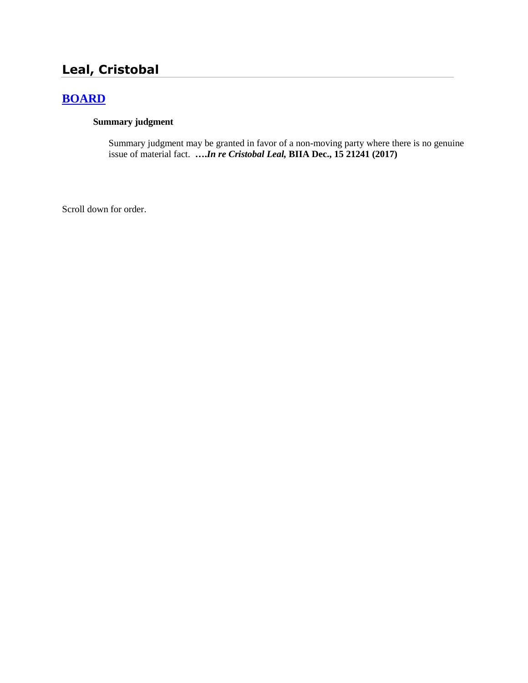# **Leal, Cristobal**

## **[BOARD](http://www.biia.wa.gov/SDSubjectIndex.html#BOARD)**

## **Summary judgment**

Summary judgment may be granted in favor of a non-moving party where there is no genuine issue of material fact. **….***In re Cristobal Leal,* **BIIA Dec., 15 21241 (2017)**

Scroll down for order.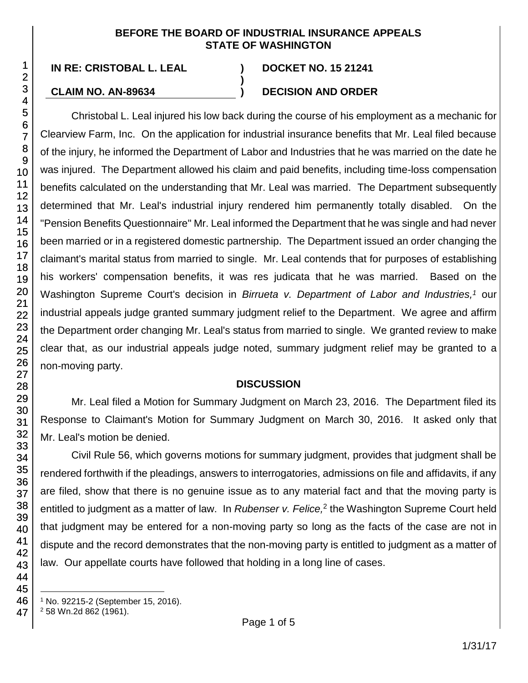## **BEFORE THE BOARD OF INDUSTRIAL INSURANCE APPEALS STATE OF WASHINGTON**

**)**

**IN RE: CRISTOBAL L. LEAL ) DOCKET NO. 15 21241**

## **CLAIM NO. AN-89634 ) DECISION AND ORDER**

Christobal L. Leal injured his low back during the course of his employment as a mechanic for Clearview Farm, Inc. On the application for industrial insurance benefits that Mr. Leal filed because of the injury, he informed the Department of Labor and Industries that he was married on the date he was injured. The Department allowed his claim and paid benefits, including time-loss compensation benefits calculated on the understanding that Mr. Leal was married. The Department subsequently determined that Mr. Leal's industrial injury rendered him permanently totally disabled. On the "Pension Benefits Questionnaire" Mr. Leal informed the Department that he was single and had never been married or in a registered domestic partnership. The Department issued an order changing the claimant's marital status from married to single. Mr. Leal contends that for purposes of establishing his workers' compensation benefits, it was res judicata that he was married. Based on the Washington Supreme Court's decision in *Birrueta v. Department of Labor and Industries*,<sup>1</sup> our industrial appeals judge granted summary judgment relief to the Department. We agree and affirm the Department order changing Mr. Leal's status from married to single. We granted review to make clear that, as our industrial appeals judge noted, summary judgment relief may be granted to a non-moving party.

## **DISCUSSION**

Mr. Leal filed a Motion for Summary Judgment on March 23, 2016. The Department filed its Response to Claimant's Motion for Summary Judgment on March 30, 2016. It asked only that Mr. Leal's motion be denied.

Civil Rule 56, which governs motions for summary judgment, provides that judgment shall be rendered forthwith if the pleadings, answers to interrogatories, admissions on file and affidavits, if any are filed, show that there is no genuine issue as to any material fact and that the moving party is entitled to judgment as a matter of law. In *Rubenser v. Felice*,<sup>2</sup> the Washington Supreme Court held that judgment may be entered for a non-moving party so long as the facts of the case are not in dispute and the record demonstrates that the non-moving party is entitled to judgment as a matter of law. Our appellate courts have followed that holding in a long line of cases.

l <sup>1</sup> No. 92215-2 (September 15, 2016).

<sup>2</sup> 58 Wn.2d 862 (1961).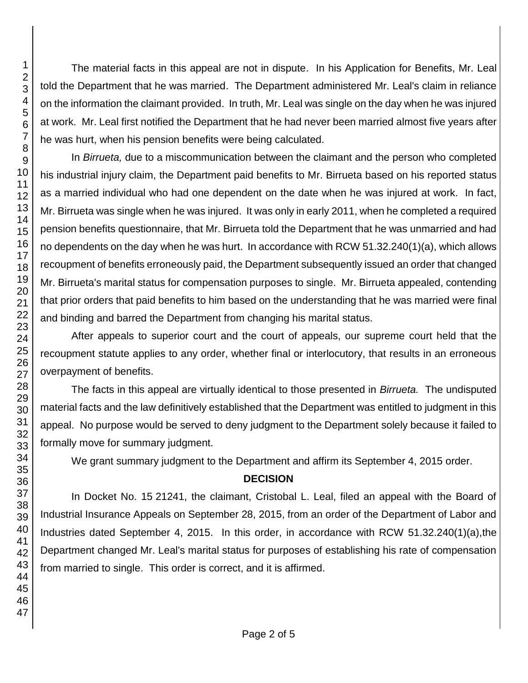The material facts in this appeal are not in dispute. In his Application for Benefits, Mr. Leal told the Department that he was married. The Department administered Mr. Leal's claim in reliance on the information the claimant provided. In truth, Mr. Leal was single on the day when he was injured at work. Mr. Leal first notified the Department that he had never been married almost five years after he was hurt, when his pension benefits were being calculated.

In *Birrueta,* due to a miscommunication between the claimant and the person who completed his industrial injury claim, the Department paid benefits to Mr. Birrueta based on his reported status as a married individual who had one dependent on the date when he was injured at work. In fact, Mr. Birrueta was single when he was injured. It was only in early 2011, when he completed a required pension benefits questionnaire, that Mr. Birrueta told the Department that he was unmarried and had no dependents on the day when he was hurt. In accordance with RCW 51.32.240(1)(a), which allows recoupment of benefits erroneously paid, the Department subsequently issued an order that changed Mr. Birrueta's marital status for compensation purposes to single. Mr. Birrueta appealed, contending that prior orders that paid benefits to him based on the understanding that he was married were final and binding and barred the Department from changing his marital status.

After appeals to superior court and the court of appeals, our supreme court held that the recoupment statute applies to any order, whether final or interlocutory, that results in an erroneous overpayment of benefits.

The facts in this appeal are virtually identical to those presented in *Birrueta.* The undisputed material facts and the law definitively established that the Department was entitled to judgment in this appeal. No purpose would be served to deny judgment to the Department solely because it failed to formally move for summary judgment.

We grant summary judgment to the Department and affirm its September 4, 2015 order.

## **DECISION**

In Docket No. 15 21241, the claimant, Cristobal L. Leal, filed an appeal with the Board of Industrial Insurance Appeals on September 28, 2015, from an order of the Department of Labor and Industries dated September 4, 2015. In this order, in accordance with RCW 51.32.240(1)(a),the Department changed Mr. Leal's marital status for purposes of establishing his rate of compensation from married to single. This order is correct, and it is affirmed.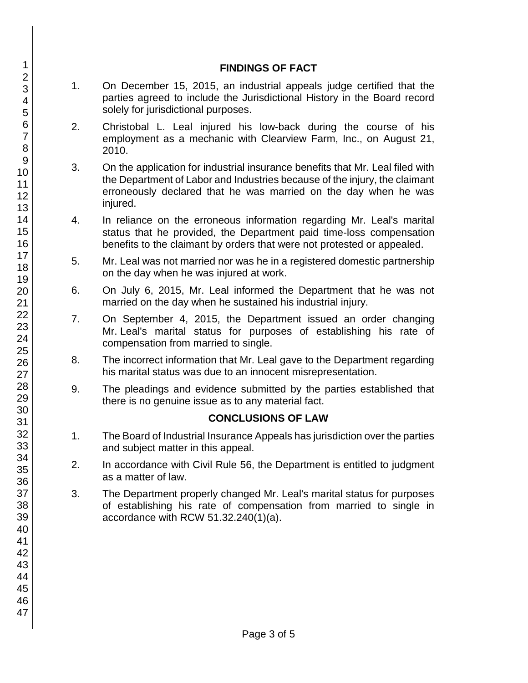## **FINDINGS OF FACT**

- 1. On December 15, 2015, an industrial appeals judge certified that the parties agreed to include the Jurisdictional History in the Board record solely for jurisdictional purposes.
- 2. Christobal L. Leal injured his low-back during the course of his employment as a mechanic with Clearview Farm, Inc., on August 21, 2010.
- 3. On the application for industrial insurance benefits that Mr. Leal filed with the Department of Labor and Industries because of the injury, the claimant erroneously declared that he was married on the day when he was injured.
- 4. In reliance on the erroneous information regarding Mr. Leal's marital status that he provided, the Department paid time-loss compensation benefits to the claimant by orders that were not protested or appealed.
- 5. Mr. Leal was not married nor was he in a registered domestic partnership on the day when he was injured at work.
- 6. On July 6, 2015, Mr. Leal informed the Department that he was not married on the day when he sustained his industrial injury.
- 7. On September 4, 2015, the Department issued an order changing Mr. Leal's marital status for purposes of establishing his rate of compensation from married to single.
- 8. The incorrect information that Mr. Leal gave to the Department regarding his marital status was due to an innocent misrepresentation.
- 9. The pleadings and evidence submitted by the parties established that there is no genuine issue as to any material fact.

## **CONCLUSIONS OF LAW**

- 1. The Board of Industrial Insurance Appeals has jurisdiction over the parties and subject matter in this appeal.
- 2. In accordance with Civil Rule 56, the Department is entitled to judgment as a matter of law.
- 3. The Department properly changed Mr. Leal's marital status for purposes of establishing his rate of compensation from married to single in accordance with RCW 51.32.240(1)(a).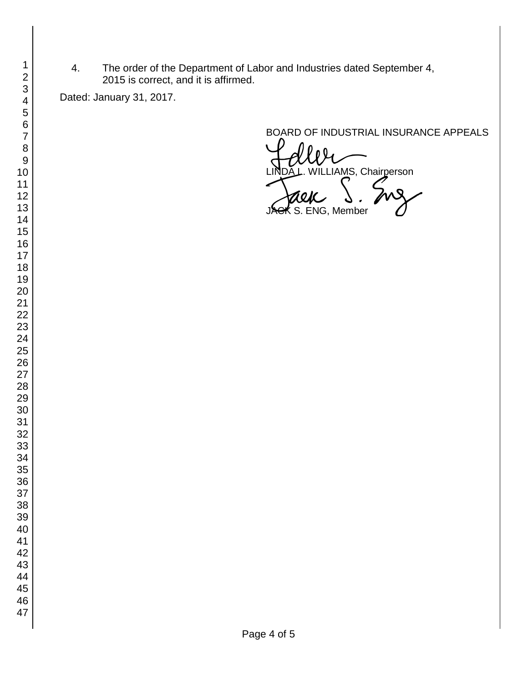4. The order of the Department of Labor and Industries dated September 4, 2015 is correct, and it is affirmed.

Dated: January 31, 2017.

BOARD OF INDUSTRIAL INSURANCE APPEALS

VILLIAMS, Chairperson  $\boldsymbol{\kappa}$  S. ENG, Member